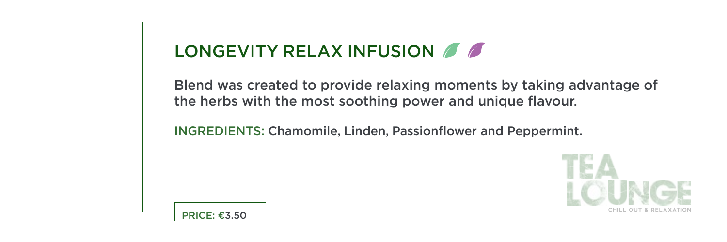#### LONGEVITY RELAX INFUSION  $\Box$

Blend was created to provide relaxing moments by taking advantage of the herbs with the most soothing power and unique flavour.

INGREDIENTS: Chamomile, Linden, Passionflower and Peppermint.

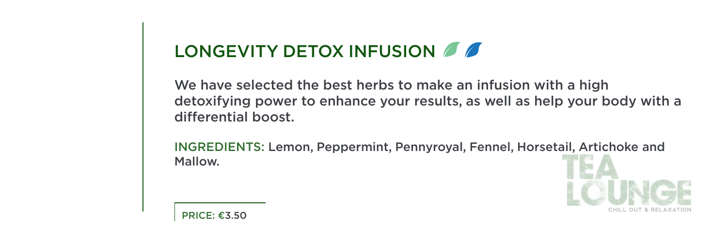### LONGEVITY DETOX INFUSION  $\blacksquare$

We have selected the best herbs to make an infusion with a high detoxifying power to enhance your results, as well as help your body with a differential boost.

INGREDIENTS: Lemon, Peppermint, Pennyroyal, Fennel, Horsetail, Artichoke and Mallow.

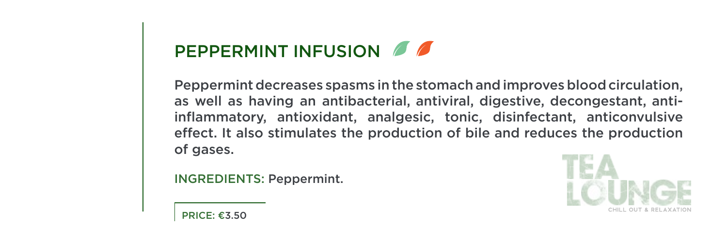# PEPPERMINT INFUSION 6

Peppermint decreases spasms in the stomach and improves blood circulation. inflammatory, antioxidant, analgesic, tonic, disinfectant, anticonvulsive as well as having an antibacterial, antiviral, digestive, decongestant, antieffect. It also stimulates the production of bile and reduces the production of gases.

INGREDIENTS: Peppermint.



 $PRICE: £3.50$ 

r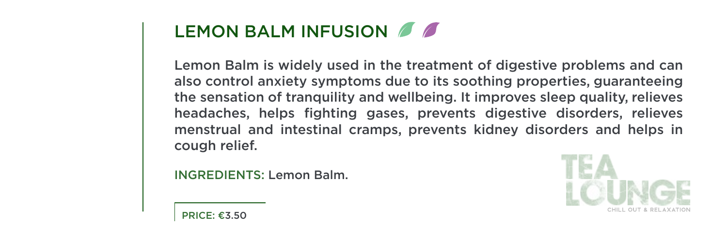#### LEMON BALM INFUSION 6

Lemon Balm is widely used in the treatment of digestive problems and can also control anxiety symptoms due to its soothing properties, guaranteeing the sensation of tranquility and wellbeing. It improves sleep quality, relieves headaches, helps fighting gases, prevents digestive disorders, relieves menstrual and intestinal cramps, prevents kidney disorders and helps in cough relief.

**INGREDIENTS: Lemon Balm.** 

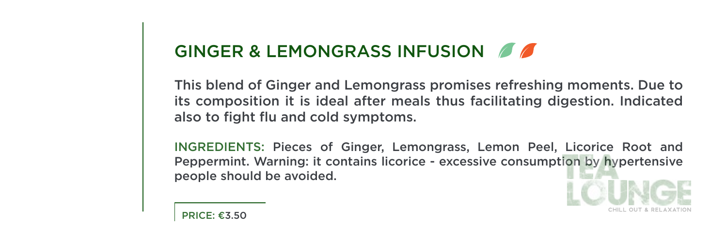### GINGER & LEMONGRASS INFUSION **OF**

This blend of Ginger and Lemongrass promises refreshing moments. Due to its composition it is ideal after meals thus facilitating digestion. Indicated also to fight flu and cold symptoms.

INGREDIENTS: Pieces of Ginger, Lemongrass, Lemon Peel, Licorice Root and Peppermint. Warning: it contains licorice - excessive consumption by hypertensive people should be avoided.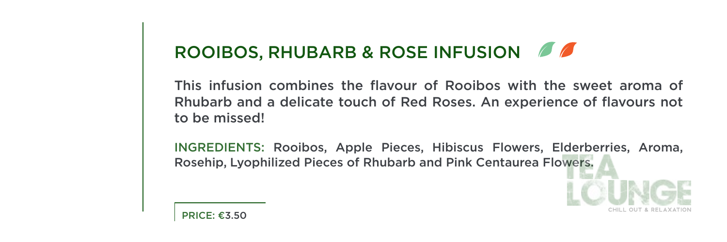### ROOIBOS, RHUBARB & ROSE INFUSION

This infusion combines the flavour of Rooibos with the sweet aroma of Rhubarb and a delicate touch of Red Roses. An experience of flavours not to be missed!

(INGREDIENTS: Rooibos, Apple Pieces, Hibiscus Flowers, Elderberries, Aroma, Rosehip. Lyophilized Pieces of Rhubarb and Pink Centaurea Flowers.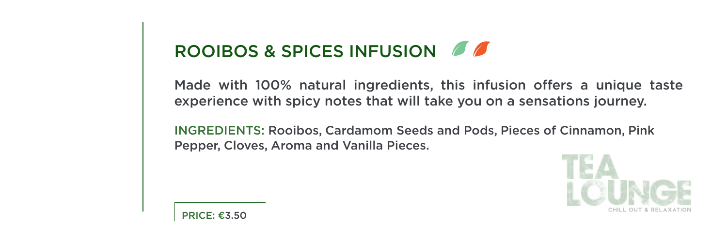### ROOIBOS & SPICES INFUSION

Made with 100% natural ingredients, this infusion offers a unique taste experience with spicy notes that will take you on a sensations journey.

INGREDIENTS: Rooibos, Cardamom Seeds and Pods, Pieces of Cinnamon, Pink Pepper, Cloves, Aroma and Vanilla Pieces.

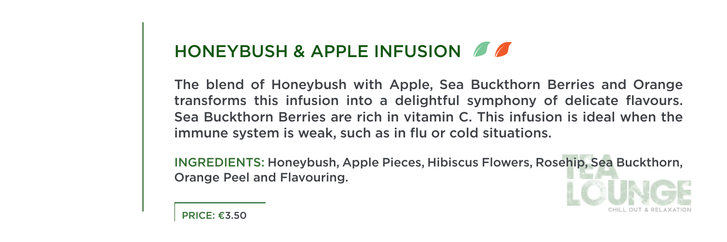### HONEYBUSH & APPLE INFUSION 6

The blend of Honeybush with Apple, Sea Buckthorn Berries and Orange transforms this infusion into a delightful symphony of delicate flavours. Sea Buckthorn Berries are rich in vitamin C. This infusion is ideal when the immune system is weak, such as in flu or cold situations.

(INGREDIENTS: Honeybush, Apple Pieces, Hibiscus Flowers, Rosehip, Sea Buckthorn, Orange Peel and Flavouring.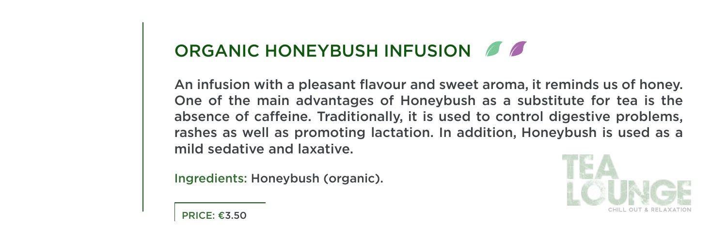### ORGANIC HONEYBUSH INFUSION 6

.honey An infusion with a pleasant flavour and sweet aroma, it reminds us of honey. One of the main advantages of Honeybush as a substitute for tea is the absence of caffeine. Traditionally, it is used to control digestive problems, rashes as well as promoting lactation. In addition, Honeybush is used as a mild sedative and laxative

Ingredients: Honeybush (organic).

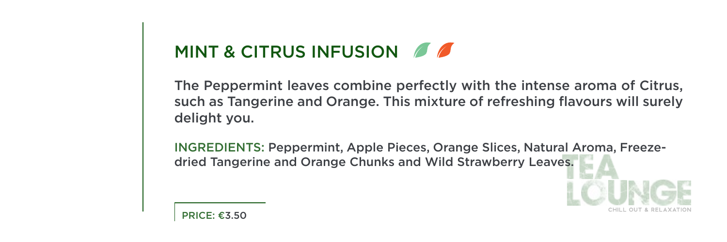### MINT & CITRUS INFUSION  $\Box$

The Peppermint leaves combine perfectly with the intense aroma of Citrus, such as Tangerine and Orange. This mixture of refreshing flavours will surely delight you.

INGREDIENTS: Peppermint, Apple Pieces, Orange Slices, Natural Aroma, Freeze-<br>dried Tangerine and Orange Chunks and Wild Strawberry Leaves.

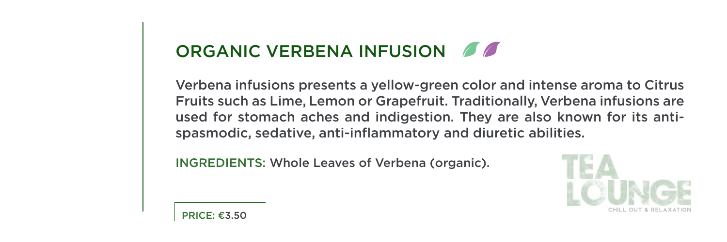### ORGANIC VERBENA INFUSION

Verbena infusions presents a yellow-green color and intense aroma to Citrus Fruits such as Lime, Lemon or Grapefruit. Traditionally, Verbena infusions are used for stomach aches and indigestion. They are also known for its anti-<br>spasmodic, sedative, anti-inflammatory and diuretic abilities.

INGREDIENTS: Whole Leaves of Verbena (organic).

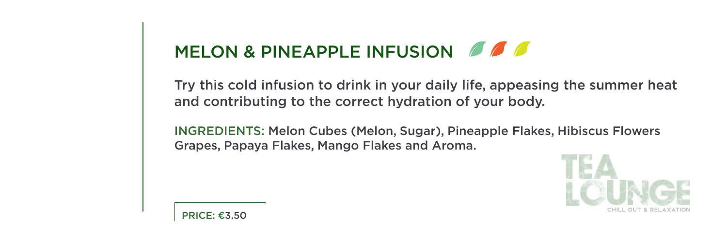## MELON & PINEAPPLE INFUSION  $\Box$

Try this cold infusion to drink in your daily life, appeasing the summer heat and contributing to the correct hydration of your body.

INGREDIENTS: Melon Cubes (Melon, Sugar), Pineapple Flakes, Hibiscus Flowers Grapes, Papaya Flakes, Mango Flakes and Aroma.

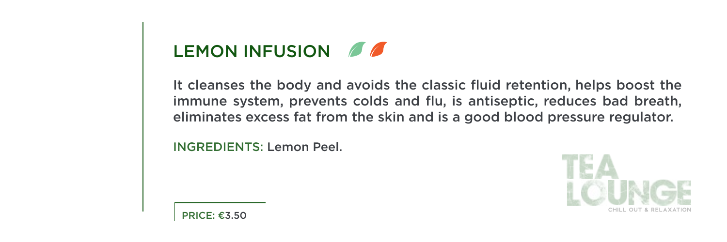# LEMON INFUSION  $\mathscr{B}$

It cleanses the body and avoids the classic fluid retention, helps boost the immune system, prevents colds and flu, is antiseptic, reduces bad breath, eliminates excess fat from the skin and is a good blood pressure regulator.

**INGREDIENTS: Lemon Peel.** 

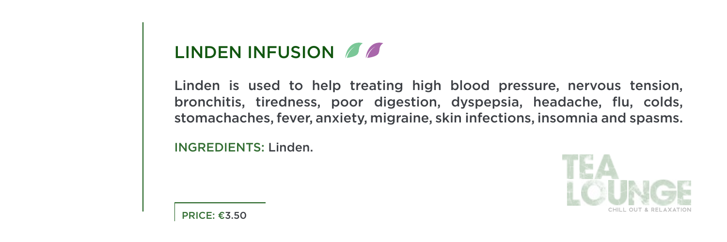## LINDEN INFUSION 6

Linden is used to help treating high blood pressure, nervous tension, bronchitis, tiredness, poor digestion, dyspepsia, headache, flu, colds, stomachaches, fever, anxiety, migraine, skin infections, insomnia and spasms.

INGREDIENTS: Linden.

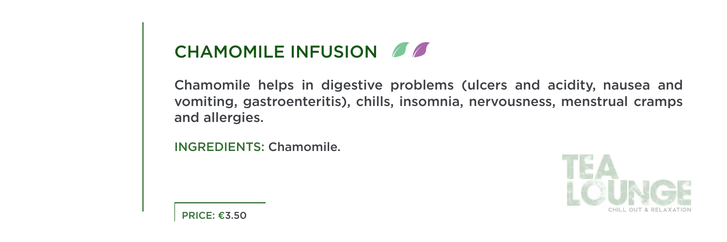### CHAMOMILE INFUSION  $\Box$

Chamomile helps in digestive problems (ulcers and acidity, nausea and vomiting, gastroenteritis), chills, insomnia, nervousness, menstrual cramps and allergies.

INGREDIENTS: Chamomile.



**PRICE: €3.50**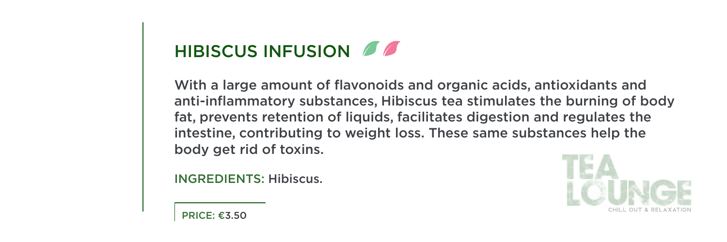# HIBISCUS INFUSION 6

With a large amount of flavonoids and organic acids, antioxidants and anti-inflammatory substances. Hibiscus tea stimulates the burning of body fat, prevents retention of liquids, facilitates digestion and regulates the intestine, contributing to weight loss. These same substances help the body get rid of toxins.

**INGREDIENTS: Hibiscus.** 

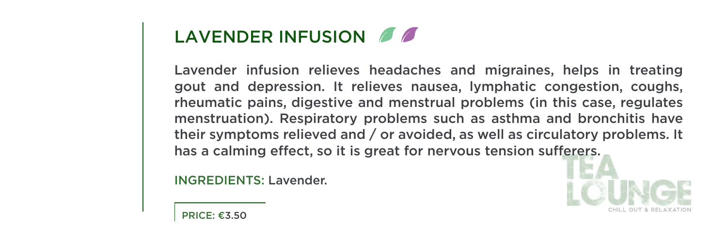### LAVENDER INFUSION 6

Lavender infusion relieves headaches and migraines, helps in treating gout and depression. It relieves nausea, lymphatic congestion, coughs, rheumatic pains, digestive and menstrual problems (in this case, regulates menstruation). Respiratory problems such as asthma and bronchitis have their symptoms relieved and  $/$  or avoided, as well as circulatory problems. It has a calming effect, so it is great for nervous tension sufferers.

INGREDIENTS: Lavender.



 $PRICF: E3.50$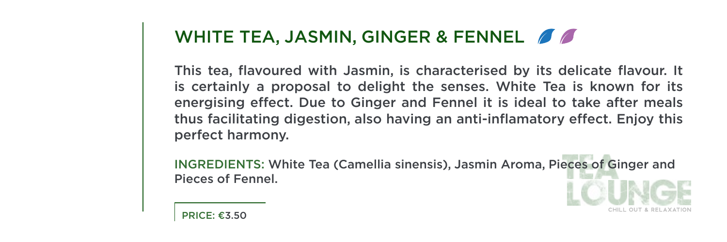#### WHITE TEA, JASMIN, GINGER & FENNEL  $\mathscr{I}\mathscr{I}$

This tea, flavoured with Jasmin, is characterised by its delicate flavour. It is certainly a proposal to delight the senses. White Tea is known for its energising effect. Due to Ginger and Fennel it is ideal to take after meals thus facilitating digestion, also having an anti-inflamatory effect. Enjoy this perfect harmony.

INGREDIENTS: White Tea (Camellia sinensis), Jasmin Aroma, Pieces of Ginger and Pieces of Fennel.

 $PRICF: E3.50$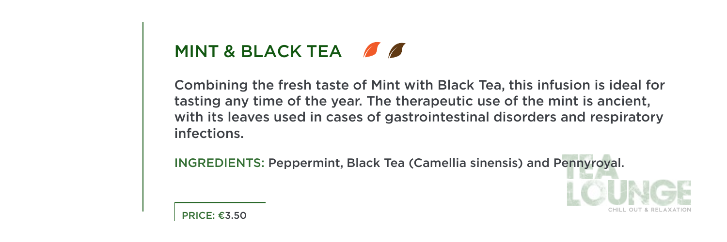# MINT & BLACK TEA  $\blacksquare$

Combining the fresh taste of Mint with Black Tea, this infusion is ideal for tasting any time of the year. The therapeutic use of the mint is ancient, with its leaves used in cases of gastrointestinal disorders and respiratory .infections

INGREDIENTS: Peppermint, Black Tea (Camellia sinensis) and Pennyroval.

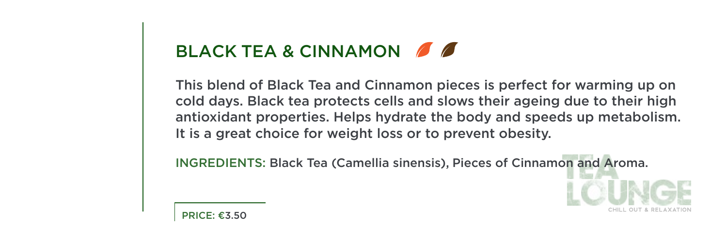### BLACK TEA & CINNAMON 6

This blend of Black Tea and Cinnamon pieces is perfect for warming up on cold days. Black tea protects cells and slows their ageing due to their high antioxidant properties. Helps hydrate the body and speeds up metabolism. It is a great choice for weight loss or to prevent obesity.

INGREDIENTS: Black Tea (Camellia sinensis). Pieces of Cinnamon and Aroma.